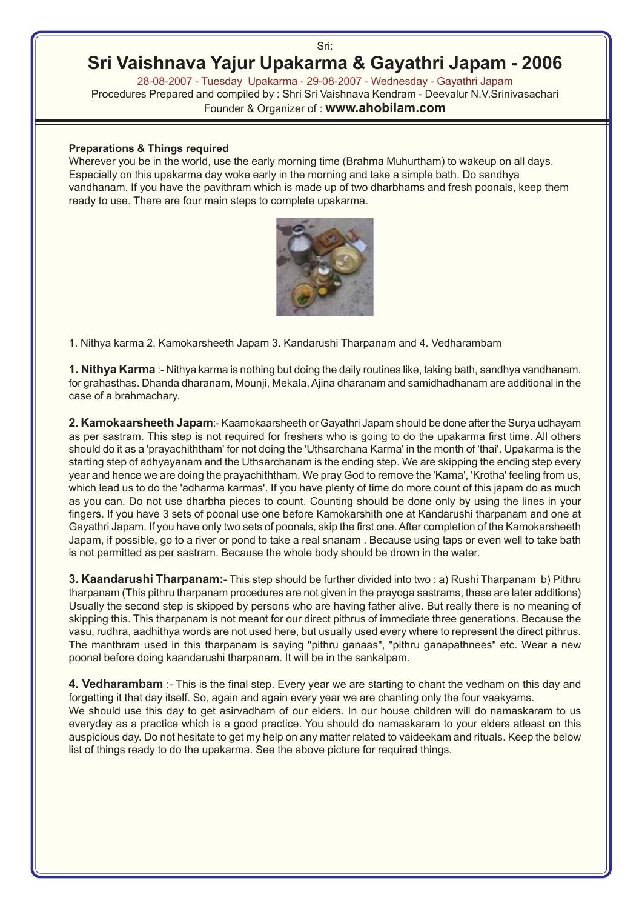#### Sri:

# **Sri Vaishnava Yajur Upakarma & Gayathri Japam - 2006**

28-08-2007 - Tuesday Upakarma - 29-08-2007 - Wednesday - Gayathri Japam Procedures Prepared and compiled by : Shri Sri Vaishnava Kendram - Deevalur N.V.Srinivasachari Founder & Organizer of : **www.ahobilam.com**

#### **Preparations & Things required**

Wherever you be in the world, use the early morning time (Brahma Muhurtham) to wakeup on all days. Especially on this upakarma day woke early in the morning and take a simple bath. Do sandhya vandhanam. If you have the pavithram which is made up of two dharbhams and fresh poonals, keep them ready to use. There are four main steps to complete upakarma.



1. Nithya karma 2. Kamokarsheeth Japam 3. Kandarushi Tharpanam and 4. Vedharambam

**1. Nithya Karma** :- Nithya karma is nothing but doing the daily routines like, taking bath, sandhya vandhanam. for grahasthas. Dhanda dharanam, Mounji, Mekala, Ajina dharanam and samidhadhanam are additional in the case of a brahmachary.

**2. Kamokaarsheeth Japam**:- Kaamokaarsheeth or Gayathri Japam should be done after the Surya udhayam as per sastram. This step is not required for freshers who is going to do the upakarma first time. All others should do it as a 'prayachiththam' for not doing the 'Uthsarchana Karma' in the month of 'thai'. Upakarma is the starting step of adhyayanam and the Uthsarchanam is the ending step. We are skipping the ending step every year and hence we are doing the prayachiththam. We pray God to remove the 'Kama', 'Krotha' feeling from us, which lead us to do the 'adharma karmas'. If you have plenty of time do more count of this japam do as much as you can. Do not use dharbha pieces to count. Counting should be done only by using the lines in your fingers. If you have 3 sets of poonal use one before Kamokarshith one at Kandarushi tharpanam and one at Gayathri Japam. If you have only two sets of poonals, skip the first one. After completion of the Kamokarsheeth Japam, if possible, go to a river or pond to take a real snanam . Because using taps or even well to take bath is not permitted as per sastram. Because the whole body should be drown in the water.

**3. Kaandarushi Tharpanam:**- This step should be further divided into two : a) Rushi Tharpanam b) Pithru tharpanam (This pithru tharpanam procedures are not given in the prayoga sastrams, these are later additions) Usually the second step is skipped by persons who are having father alive. But really there is no meaning of skipping this. This tharpanam is not meant for our direct pithrus of immediate three generations. Because the vasu, rudhra, aadhithya words are not used here, but usually used every where to represent the direct pithrus. The manthram used in this tharpanam is saying "pithru ganaas", "pithru ganapathnees" etc. Wear a new poonal before doing kaandarushi tharpanam. It will be in the sankalpam.

**4. Vedharambam** :- This is the final step. Every year we are starting to chant the vedham on this day and forgetting it that day itself. So, again and again every year we are chanting only the four vaakyams. We should use this day to get asirvadham of our elders. In our house children will do namaskaram to us everyday as a practice which is a good practice. You should do namaskaram to your elders atleast on this auspicious day. Do not hesitate to get my help on any matter related to vaideekam and rituals. Keep the below list of things ready to do the upakarma. See the above picture for required things.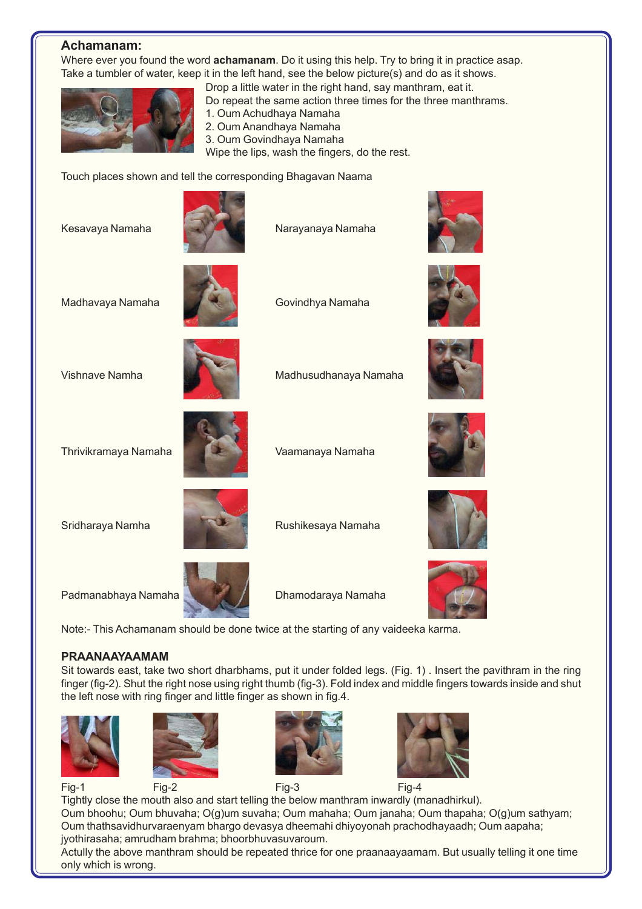### **Achamanam:**

Where ever you found the word **achamanam**. Do it using this help. Try to bring it in practice asap. Take a tumbler of water, keep it in the left hand, see the below picture(s) and do as it shows.



Drop a little water in the right hand, say manthram, eat it. Do repeat the same action three times for the three manthrams.

- 1. Oum Achudhaya Namaha
- 2. Oum Anandhaya Namaha
- 3. Oum Govindhaya Namaha
- Wipe the lips, wash the fingers, do the rest.

Touch places shown and tell the corresponding Bhagavan Naama

Kesavaya Namaha Narayanaya Namaha





Madhavaya Namaha **Govindhya Namaha** 





Vishnave Namha Madhusudhanaya Namaha



Thrivikramaya Namaha Vaamanaya Namaha

Sridharaya Namha Rushikesaya Namaha







Padmanabhaya Namaha **Dhamodaraya Namaha** 

Note:- This Achamanam should be done twice at the starting of any vaideeka karma.

#### **PRAANAAYAAMAM**

Sit towards east, take two short dharbhams, put it under folded legs. (Fig. 1) . Insert the pavithram in the ring finger (fig-2). Shut the right nose using right thumb (fig-3). Fold index and middle fingers towards inside and shut the left nose with ring finger and little finger as shown in fig.4.











Fig-1 Fig-2 Fig-3 Fig-4

Tightly close the mouth also and start telling the below manthram inwardly (manadhirkul). Oum bhoohu; Oum bhuvaha; O(g)um suvaha; Oum mahaha; Oum janaha; Oum thapaha; O(g)um sathyam; Oum thathsavidhurvaraenyam bhargo devasya dheemahi dhiyoyonah prachodhayaadh; Oum aapaha; jyothirasaha; amrudham brahma; bhoorbhuvasuvaroum.

Actully the above manthram should be repeated thrice for one praanaayaamam. But usually telling it one time only which is wrong.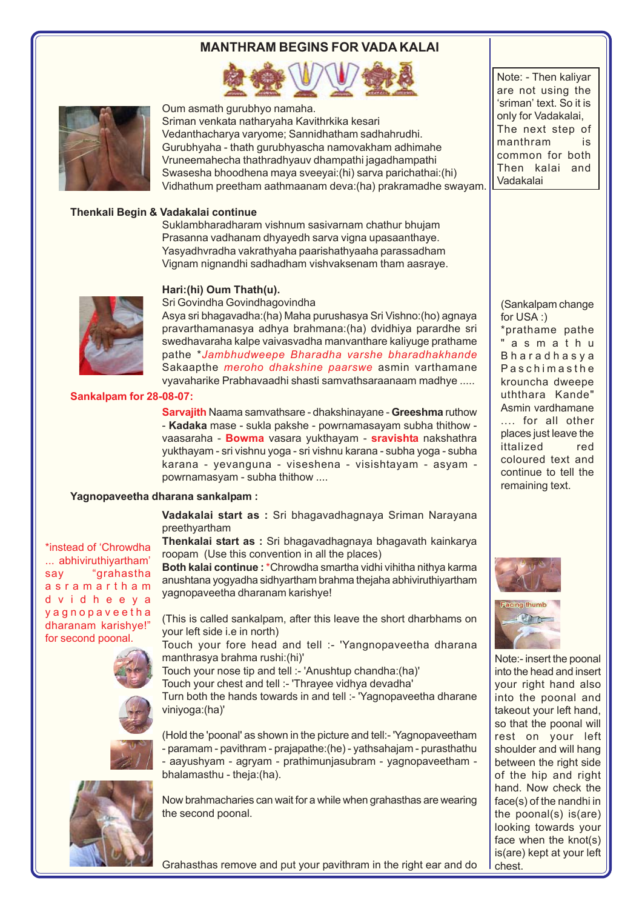## **MANTHRAM BEGINS FOR VADA KALAI**





Oum asmath gurubhyo namaha.

Sriman venkata natharyaha Kavithrkika kesari Vedanthacharya varyome; Sannidhatham sadhahrudhi. Gurubhyaha - thath gurubhyascha namovakham adhimahe Vruneemahecha thathradhyauv dhampathi jagadhampathi Swasesha bhoodhena maya sveeyai:(hi) sarva parichathai:(hi) Vidhathum preetham aathmaanam deva:(ha) prakramadhe swayam.

#### **Thenkali Begin & Vadakalai continue**

Suklambharadharam vishnum sasivarnam chathur bhujam Prasanna vadhanam dhyayedh sarva vigna upasaanthaye. Yasyadhvradha vakrathyaha paarishathyaaha parassadham Vignam nignandhi sadhadham vishvaksenam tham aasraye.

#### **Hari:(hi) Oum Thath(u).**



\*instead of 'Chrowdha ... abhiviruthiyartham' say "grahastha asramartham dvidheeya yagnopaveetha dharanam karishye!" for second poonal.

Sri Govindha Govindhagovindha Asya sri bhagavadha:(ha) Maha purushasya Sri Vishno:(ho) agnaya pravarthamanasya adhya brahmana:(ha) dvidhiya parardhe sri swedhavaraha kalpe vaivasvadha manvanthare kaliyuge prathame pathe \**Jambhudweepe Bharadha varshe bharadhakhande* Sakaapthe *meroho dhakshine paarswe* asmin varthamane vyavaharike Prabhavaadhi shasti samvathsaraanaam madhye .....

**Sankalpam for 28-08-07:**

**Sarvajith** Naama samvathsare - dhakshinayane - **Greeshma** ruthow - **Kadaka** mase - sukla pakshe - powrnamasayam subha thithow vaasaraha - **Bowma** vasara yukthayam - **sravishta** nakshathra yukthayam - sri vishnu yoga - sri vishnu karana - subha yoga - subha karana - yevanguna - viseshena - visishtayam - asyam powrnamasyam - subha thithow ....

#### **Yagnopaveetha dharana sankalpam :**

**Vadakalai start as :** Sri bhagavadhagnaya Sriman Narayana preethyartham

**Thenkalai start as :** Sri bhagavadhagnaya bhagavath kainkarya roopam (Use this convention in all the places)

**Both kalai continue :**\*Chrowdha smartha vidhi vihitha nithya karma anushtana yogyadha sidhyartham brahma thejaha abhiviruthiyartham yagnopaveetha dharanam karishye!

(This is called sankalpam, after this leave the short dharbhams on your left side i.e in north)

Touch your fore head and tell :- 'Yangnopaveetha dharana manthrasya brahma rushi:(hi)'

Touch your nose tip and tell :- 'Anushtup chandha:(ha)'

Touch your chest and tell :- 'Thrayee vidhya devadha'

Turn both the hands towards in and tell :- 'Yagnopaveetha dharane viniyoga:(ha)'

(Hold the 'poonal' as shown in the picture and tell:- 'Yagnopaveetham - paramam - pavithram - prajapathe:(he) - yathsahajam - purasthathu - aayushyam - agryam - prathimunjasubram - yagnopaveetham bhalamasthu - theja:(ha).

Now brahmacharies can wait for a while when grahasthas are wearing

Note: - Then kaliyar are not using the 'sriman' text. So it is only for Vadakalai, The next step of manthram is common for both Then kalai and Vadakalai

(Sankalpam change for USA :) \*prathame pathe

"asmathu Bharadhasya Paschimasthe krouncha dweepe uththara Kande" Asmin vardhamane .... for all other places just leave the ittalized red coloured text and continue to tell the remaining text.





Note:- insert the poonal into the head and insert your right hand also into the poonal and takeout your left hand, so that the poonal will rest on your left shoulder and will hang between the right side of the hip and right hand. Now check the face(s) of the nandhi in the poonal(s) is(are) looking towards your face when the knot(s) is(are) kept at your left chest.



the second poonal.

Grahasthas remove and put your pavithram in the right ear and do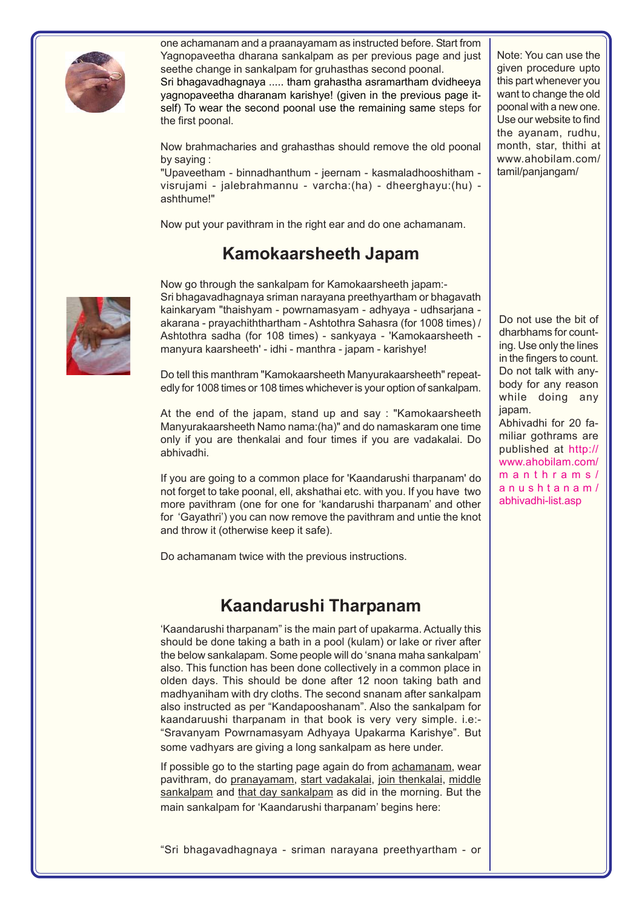

one achamanam and a praanayamam as instructed before. Start from Yagnopaveetha dharana sankalpam as per previous page and just seethe change in sankalpam for gruhasthas second poonal. Sri bhagavadhagnaya ..... tham grahastha asramartham dvidheeya yagnopaveetha dharanam karishye! (given in the previous page it-

self) To wear the second poonal use the remaining same steps for the first poonal.

Now brahmacharies and grahasthas should remove the old poonal by saying :

"Upaveetham - binnadhanthum - jeernam - kasmaladhooshitham visrujami - jalebrahmannu - varcha:(ha) - dheerghayu:(hu) ashthume!"

Now put your pavithram in the right ear and do one achamanam.

# **Kamokaarsheeth Japam**

Now go through the sankalpam for Kamokaarsheeth japam:- Sri bhagavadhagnaya sriman narayana preethyartham or bhagavath kainkaryam "thaishyam - powrnamasyam - adhyaya - udhsarjana akarana - prayachiththartham - Ashtothra Sahasra (for 1008 times) / Ashtothra sadha (for 108 times) - sankyaya - 'Kamokaarsheeth manyura kaarsheeth' - idhi - manthra - japam - karishye!

Do tell this manthram "Kamokaarsheeth Manyurakaarsheeth" repeatedly for 1008 times or 108 times whichever is your option of sankalpam.

At the end of the japam, stand up and say : "Kamokaarsheeth Manyurakaarsheeth Namo nama:(ha)" and do namaskaram one time only if you are thenkalai and four times if you are vadakalai. Do abhivadhi.

If you are going to a common place for 'Kaandarushi tharpanam' do not forget to take poonal, ell, akshathai etc. with you. If you have two more pavithram (one for one for 'kandarushi tharpanam' and other for 'Gayathri') you can now remove the pavithram and untie the knot and throw it (otherwise keep it safe).

Do achamanam twice with the previous instructions.

## **Kaandarushi Tharpanam**

'Kaandarushi tharpanam" is the main part of upakarma. Actually this should be done taking a bath in a pool (kulam) or lake or river after the below sankalapam. Some people will do 'snana maha sankalpam' also. This function has been done collectively in a common place in olden days. This should be done after 12 noon taking bath and madhyaniham with dry cloths. The second snanam after sankalpam also instructed as per "Kandapooshanam". Also the sankalpam for kaandaruushi tharpanam in that book is very very simple. i.e:- "Sravanyam Powrnamasyam Adhyaya Upakarma Karishye". But some vadhyars are giving a long sankalpam as here under.

If possible go to the starting page again do from achamanam, wear pavithram, do pranayamam, start vadakalai, join thenkalai, middle sankalpam and that day sankalpam as did in the morning. But the main sankalpam for 'Kaandarushi tharpanam' begins here:

Note: You can use the given procedure upto this part whenever you want to change the old poonal with a new one. Use our website to find the ayanam, rudhu, month, star, thithi at www.ahobilam.com/ tamil/panjangam/

Do not use the bit of dharbhams for counting. Use only the lines in the fingers to count. Do not talk with anybody for any reason while doing any japam. Abhivadhi for 20 familiar gothrams are published at http:// www.ahobilam.com/ manthrams/ anushtanam/ abhivadhi-list.asp

"Sri bhagavadhagnaya - sriman narayana preethyartham - or

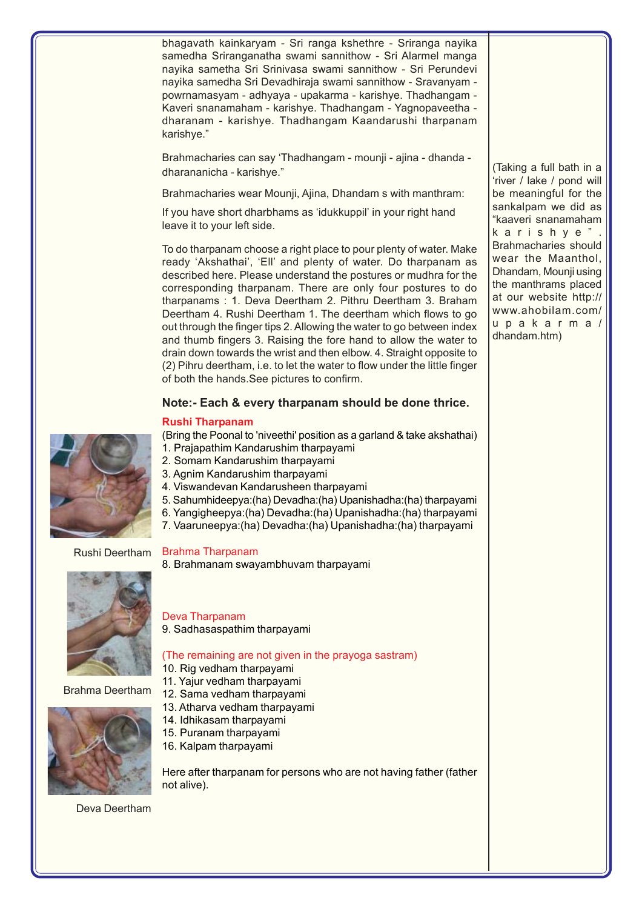bhagavath kainkaryam - Sri ranga kshethre - Sriranga nayika samedha Sriranganatha swami sannithow - Sri Alarmel manga nayika sametha Sri Srinivasa swami sannithow - Sri Perundevi nayika samedha Sri Devadhiraja swami sannithow - Sravanyam powrnamasyam - adhyaya - upakarma - karishye. Thadhangam - Kaveri snanamaham - karishye. Thadhangam - Yagnopaveetha dharanam - karishye. Thadhangam Kaandarushi tharpanam karishye."

Brahmacharies can say 'Thadhangam - mounji - ajina - dhanda dharananicha - karishye."

Brahmacharies wear Mounji, Ajina, Dhandam s with manthram:

If you have short dharbhams as 'idukkuppil' in your right hand leave it to your left side.

To do tharpanam choose a right place to pour plenty of water. Make ready 'Akshathai', 'Ell' and plenty of water. Do tharpanam as described here. Please understand the postures or mudhra for the corresponding tharpanam. There are only four postures to do tharpanams : 1. Deva Deertham 2. Pithru Deertham 3. Braham Deertham 4. Rushi Deertham 1. The deertham which flows to go out through the finger tips 2. Allowing the water to go between index and thumb fingers 3. Raising the fore hand to allow the water to drain down towards the wrist and then elbow. 4. Straight opposite to (2) Pihru deertham, i.e. to let the water to flow under the little finger of both the hands.See pictures to confirm.

#### **Note:- Each & every tharpanam should be done thrice.**

#### **Rushi Tharpanam**

(Bring the Poonal to 'niveethi' position as a garland & take akshathai) 1. Prajapathim Kandarushim tharpayami

- 2. Somam Kandarushim tharpayami
- 3. Agnim Kandarushim tharpayami
- 4. Viswandevan Kandarusheen tharpayami
- 5. Sahumhideepya:(ha) Devadha:(ha) Upanishadha:(ha) tharpayami
- 6. Yangigheepya:(ha) Devadha:(ha) Upanishadha:(ha) tharpayami
- 7. Vaaruneepya:(ha) Devadha:(ha) Upanishadha:(ha) tharpayami

#### Brahma Tharpanam

8. Brahmanam swayambhuvam tharpayami

### Deva Tharpanam

9. Sadhasaspathim tharpayami

#### (The remaining are not given in the prayoga sastram)

- 10. Rig vedham tharpayami
- 11. Yajur vedham tharpayami
- 12. Sama vedham tharpayami
- 13. Atharva vedham tharpayami
- 14. Idhikasam tharpayami
- 15. Puranam tharpayami
- 16. Kalpam tharpayami

Here after tharpanam for persons who are not having father (father not alive).

Deva Deertham



Brahma Deertham



(Taking a full bath in a 'river / lake / pond will be meaningful for the sankalpam we did as "kaaveri snanamaham karishye". Brahmacharies should wear the Maanthol, Dhandam, Mounji using the manthrams placed at our website http:// www.ahobilam.com/ upakarma/ dhandam.htm)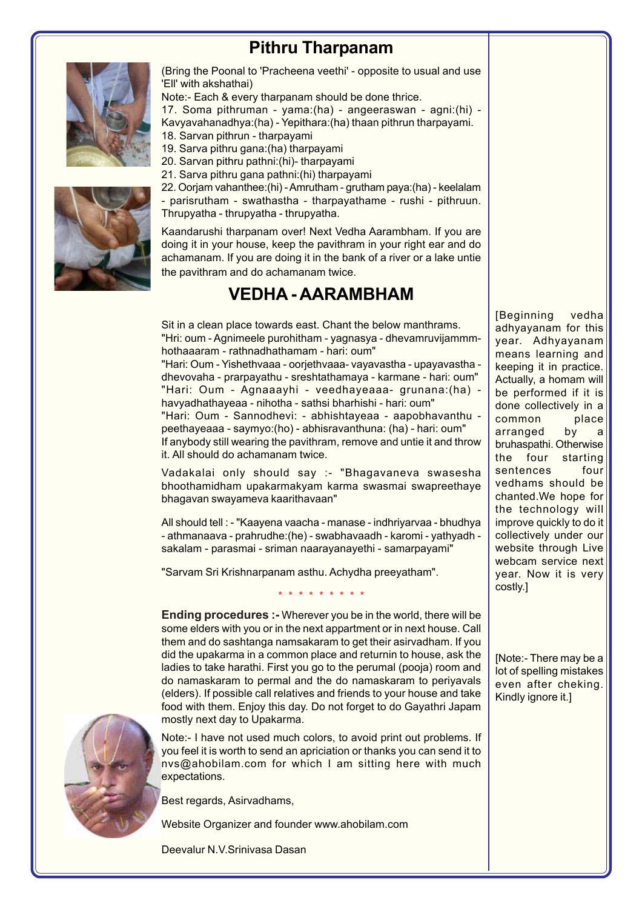## **Pithru Tharpanam**



(Bring the Poonal to 'Pracheena veethi' - opposite to usual and use 'Ell' with akshathai)

Note:- Each & every tharpanam should be done thrice.

17. Soma pithruman - yama:(ha) - angeeraswan - agni:(hi) - Kavyavahanadhya:(ha) - Yepithara:(ha) thaan pithrun tharpayami.

- 18. Sarvan pithrun tharpayami
- 19. Sarva pithru gana:(ha) tharpayami
- 20. Sarvan pithru pathni:(hi)- tharpayami
- 21. Sarva pithru gana pathni:(hi) tharpayami



22. Oorjam vahanthee:(hi) - Amrutham - grutham paya:(ha) - keelalam - parisrutham - swathastha - tharpayathame - rushi - pithruun. Thrupyatha - thrupyatha - thrupyatha.

Kaandarushi tharpanam over! Next Vedha Aarambham. If you are doing it in your house, keep the pavithram in your right ear and do achamanam. If you are doing it in the bank of a river or a lake untie the pavithram and do achamanam twice.

## **VEDHA - AARAMBHAM**

Sit in a clean place towards east. Chant the below manthrams. "Hri: oum - Agnimeele purohitham - yagnasya - dhevamruvijammmhothaaaram - rathnadhathamam - hari: oum" "Hari: Oum - Yishethvaaa - oorjethvaaa- vayavastha - upayavastha dhevovaha - prarpayathu - sreshtathamaya - karmane - hari: oum" "Hari: Oum - Agnaaayhi - veedhayeaaa- grunana:(ha) havyadhathayeaa - nihotha - sathsi bharhishi - hari: oum" "Hari: Oum - Sannodhevi: - abhishtayeaa - aapobhavanthu peethayeaaa - saymyo:(ho) - abhisravanthuna: (ha) - hari: oum" If anybody still wearing the pavithram, remove and untie it and throw it. All should do achamanam twice.

Vadakalai only should say :- "Bhagavaneva swasesha bhoothamidham upakarmakyam karma swasmai swapreethaye bhagavan swayameva kaarithavaan"

All should tell : - "Kaayena vaacha - manase - indhriyarvaa - bhudhya - athmanaava - prahrudhe:(he) - swabhavaadh - karomi - yathyadh sakalam - parasmai - sriman naarayanayethi - samarpayami"

"Sarvam Sri Krishnarpanam asthu. Achydha preeyatham".

\* \* \* \* \* \* \* \* \*

**Ending procedures :-** Wherever you be in the world, there will be some elders with you or in the next appartment or in next house. Call them and do sashtanga namsakaram to get their asirvadham. If you did the upakarma in a common place and returnin to house, ask the ladies to take harathi. First you go to the perumal (pooja) room and do namaskaram to permal and the do namaskaram to periyavals (elders). If possible call relatives and friends to your house and take food with them. Enjoy this day. Do not forget to do Gayathri Japam mostly next day to Upakarma.

Note:- I have not used much colors, to avoid print out problems. If you feel it is worth to send an apriciation or thanks you can send it to nvs@ahobilam.com for which I am sitting here with much expectations.

Best regards, Asirvadhams,

Website Organizer and founder www.ahobilam.com

Deevalur N.V.Srinivasa Dasan

[Beginning vedha adhyayanam for this year. Adhyayanam means learning and keeping it in practice. Actually, a homam will be performed if it is done collectively in a common place arranged by a bruhaspathi. Otherwise the four starting sentences four vedhams should be chanted.We hope for the technology will improve quickly to do it collectively under our website through Live webcam service next year. Now it is very costly.]

[Note:- There may be a lot of spelling mistakes even after cheking. Kindly ignore it.]

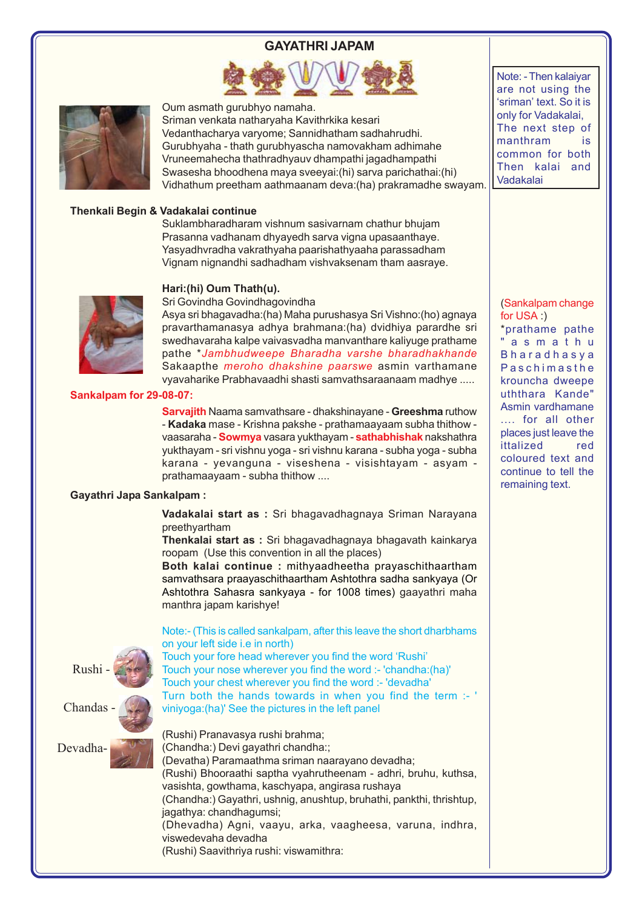### **GAYATHRI JAPAM**





Oum asmath gurubhyo namaha.

Sriman venkata natharyaha Kavithrkika kesari Vedanthacharya varyome; Sannidhatham sadhahrudhi. Gurubhyaha - thath gurubhyascha namovakham adhimahe Vruneemahecha thathradhyauv dhampathi jagadhampathi Swasesha bhoodhena maya sveeyai:(hi) sarva parichathai:(hi) Vidhathum preetham aathmaanam deva:(ha) prakramadhe swayam.

#### **Thenkali Begin & Vadakalai continue**

Suklambharadharam vishnum sasivarnam chathur bhujam Prasanna vadhanam dhyayedh sarva vigna upasaanthaye. Yasyadhvradha vakrathyaha paarishathyaaha parassadham Vignam nignandhi sadhadham vishvaksenam tham aasraye.

#### **Hari:(hi) Oum Thath(u).**



Sri Govindha Govindhagovindha

Asya sri bhagavadha:(ha) Maha purushasya Sri Vishno:(ho) agnaya pravarthamanasya adhya brahmana:(ha) dvidhiya parardhe sri swedhavaraha kalpe vaivasvadha manvanthare kaliyuge prathame pathe \**Jambhudweepe Bharadha varshe bharadhakhande* Sakaapthe *meroho dhakshine paarswe* asmin varthamane vyavaharike Prabhavaadhi shasti samvathsaraanaam madhye .....

#### **Sankalpam for 29-08-07:**

**Sarvajith** Naama samvathsare - dhakshinayane - **Greeshma** ruthow - **Kadaka** mase - Krishna pakshe - prathamaayaam subha thithow vaasaraha - **Sowmya** vasara yukthayam - **sathabhishak** nakshathra yukthayam - sri vishnu yoga - sri vishnu karana - subha yoga - subha karana - yevanguna - viseshena - visishtayam - asyam prathamaayaam - subha thithow ....

#### **Gayathri Japa Sankalpam :**

**Vadakalai start as :** Sri bhagavadhagnaya Sriman Narayana preethyartham

**Thenkalai start as :** Sri bhagavadhagnaya bhagavath kainkarya roopam (Use this convention in all the places)

**Both kalai continue :** mithyaadheetha prayaschithaartham samvathsara praayaschithaartham Ashtothra sadha sankyaya (Or Ashtothra Sahasra sankyaya - for 1008 times) gaayathri maha manthra japam karishye!

Rushi - Chandas - DevadhaNote:- (This is called sankalpam, after this leave the short dharbhams on your left side i.e in north)

Touch your fore head wherever you find the word 'Rushi' Touch your nose wherever you find the word :- 'chandha:(ha)' Touch your chest wherever you find the word :- 'devadha' Turn both the hands towards in when you find the term :- ' viniyoga:(ha)' See the pictures in the left panel

(Rushi) Pranavasya rushi brahma; (Chandha:) Devi gayathri chandha:; (Devatha) Paramaathma sriman naarayano devadha; (Rushi) Bhooraathi saptha vyahrutheenam - adhri, bruhu, kuthsa, vasishta, gowthama, kaschyapa, angirasa rushaya (Chandha:) Gayathri, ushnig, anushtup, bruhathi, pankthi, thrishtup, jagathya: chandhagumsi; (Dhevadha) Agni, vaayu, arka, vaagheesa, varuna, indhra, viswedevaha devadha (Rushi) Saavithriya rushi: viswamithra:

Note: - Then kalaiyar are not using the 'sriman' text. So it is only for Vadakalai, The next step of manthram is common for both Then kalai and Vadakalai

(Sankalpam change for USA :) \*prathame pathe "asmathu Bharadhasya Paschimasthe krouncha dweepe uththara Kande" Asmin vardhamane .... for all other places just leave the ittalized red coloured text and continue to tell the remaining text.